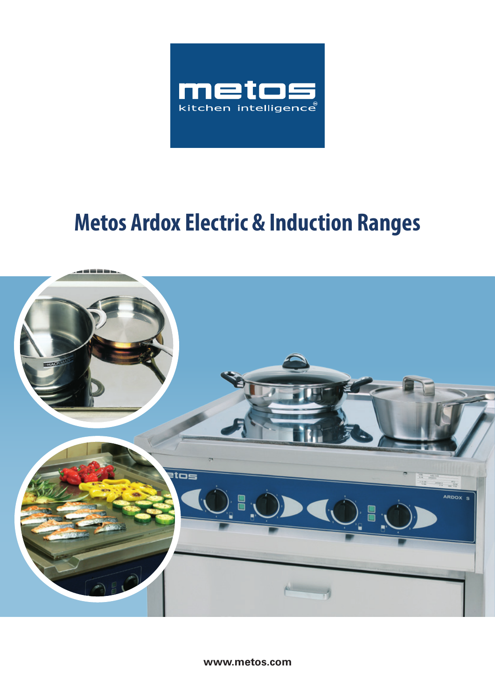

# **Metos Ardox Electric & Induction Ranges**



**www.metos.com**